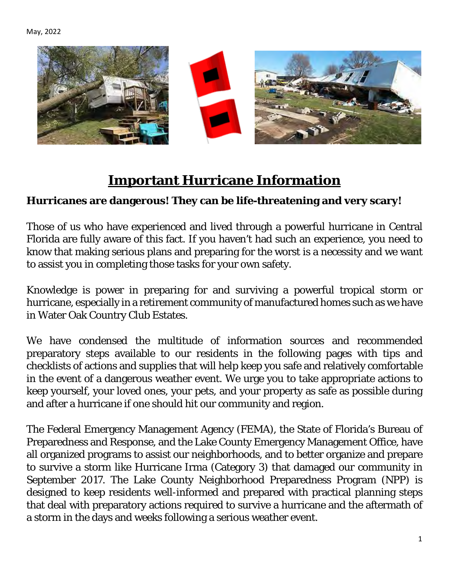

# **Important Hurricane Information**

#### <span id="page-0-0"></span>**Hurricanes are dangerous! They can be life-threatening and very scary!**

Those of us who have experienced and lived through a powerful hurricane in Central Florida are fully aware of this fact. If you haven't had such an experience, you need to know that making serious plans and preparing for the worst is a necessity and we want to assist you in completing those tasks for your own safety.

Knowledge is power in preparing for and surviving a powerful tropical storm or hurricane, especially in a retirement community of manufactured homes such as we have in Water Oak Country Club Estates.

We have condensed the multitude of information sources and recommended preparatory steps available to our residents in the following pages with tips and checklists of actions and supplies that will help keep you safe and relatively comfortable in the event of a dangerous weather event. We urge you to take appropriate actions to keep yourself, your loved ones, your pets, and your property as safe as possible during and after a hurricane if one should hit our community and region.

The Federal Emergency Management Agency (FEMA), the State of Florida's Bureau of Preparedness and Response, and the Lake County Emergency Management Office, have all organized programs to assist our neighborhoods, and to better organize and prepare to survive a storm like Hurricane Irma (Category 3) that damaged our community in September 2017. The Lake County Neighborhood Preparedness Program (NPP) is designed to keep residents well-informed and prepared with practical planning steps that deal with preparatory actions required to survive a hurricane and the aftermath of a storm in the days and weeks following a serious weather event.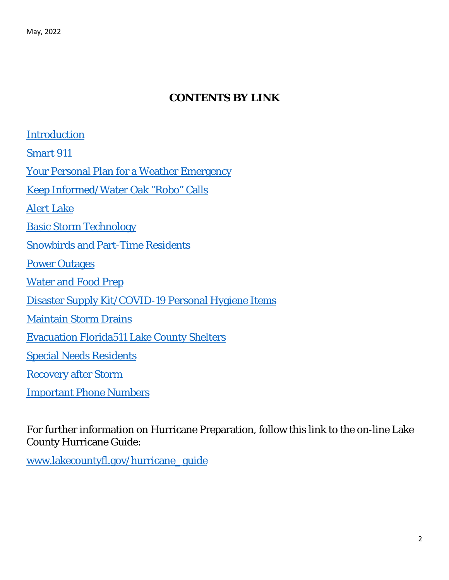#### **CONTENTS BY LINK**

[Introduction](#page-0-0) [Smart 911](#page-2-0) [Your Personal Plan for a Weather Emergency](#page-3-0) [Keep Informed/Water Oak "Robo" Calls](#page-6-0) [Alert Lake](#page-6-1)  [Basic Storm Technology](#page-8-0) Snowbirds [and Part-Time Residents](#page-10-0) **[Power Outages](#page-10-1)** [Water and Food Prep](#page-11-0) [Disaster Supply Kit/COVID-19 Personal Hygiene Items](#page-12-0) [Maintain Storm Drains](#page-13-0) [Evacuation Florida511 Lake County Shelters](#page-14-0) [Special Needs Residents](#page-19-0) [Recovery after](#page-20-0) Storm [Important Phone Numbers](#page-22-0)

For further information on Hurricane Preparation, follow this link to the on-line Lake County Hurricane Guide:

[www.lakecountyfl.gov/hurricane](about:blank)**\_**guide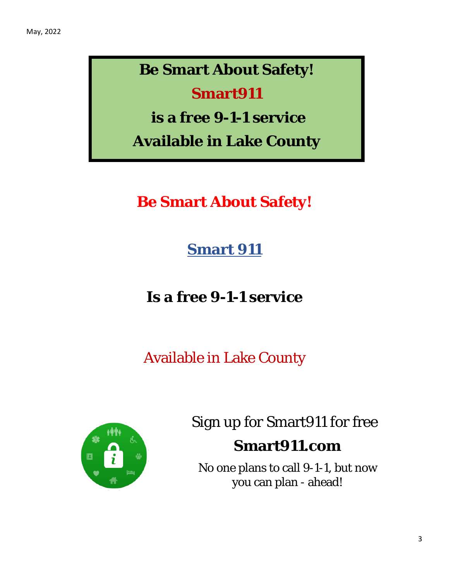# **Be Smart About Safety!**

# **Smart911**

**is a free 9-1-1 service**

**Available in Lake County**

<span id="page-2-0"></span>**Be Smart About Safety!**

**Smart 911**

**Is a free 9-1-1 service**

Available in Lake County



Sign up for Smart911 for free

## **Smart911.com**

No one plans to call 9-1-1, but now you can plan - ahead!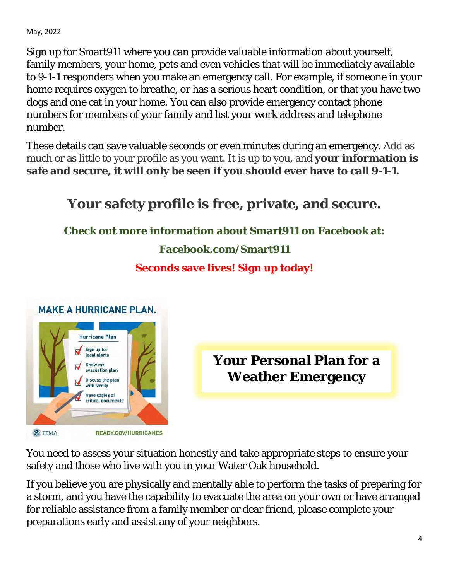Sign up for Smart911 where you can provide valuable information about yourself, family members, your home, pets and even vehicles that will be immediately available to 9-1-1 responders when you make an emergency call. For example, if someone in your home requires oxygen to breathe, or has a serious heart condition, or that you have two dogs and one cat in your home. You can also provide emergency contact phone numbers for members of your family and list your work address and telephone number.

These details can save valuable seconds or even minutes during an emergency. Add as much or as little to your profile as you want. It is up to you, and **your information is safe and secure, it will only be seen if you should ever have to call 9-1-1.** 

# **Your safety profile is free, private, and secure. Check out more information about Smart911 on Facebook at: Facebook.com/Smart911 Seconds save lives! Sign up today! MAKE A HURRICANE PLAN. Hurricane Plan**



<span id="page-3-0"></span>**Your Personal Plan for a Weather Emergency**

You need to assess your situation honestly and take appropriate steps to ensure your safety and those who live with you in your Water Oak household.

If you believe you are physically and mentally able to perform the tasks of preparing for a storm, and you have the capability to evacuate the area on your own or have arranged for reliable assistance from a family member or dear friend, please complete your preparations early and assist any of your neighbors.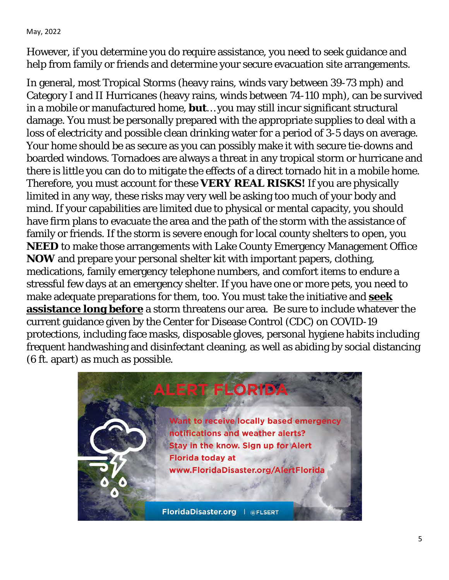However, if you determine you do require assistance, you need to seek guidance and help from family or friends and determine your secure evacuation site arrangements.

In general, most Tropical Storms (heavy rains, winds vary between 39-73 mph) and Category I and II Hurricanes (heavy rains, winds between 74-110 mph), can be survived in a mobile or manufactured home, **but**… you may still incur significant structural damage. You must be personally prepared with the appropriate supplies to deal with a loss of electricity and possible clean drinking water for a period of 3-5 days on average. Your home should be as secure as you can possibly make it with secure tie-downs and boarded windows. Tornadoes are always a threat in any tropical storm or hurricane and there is little you can do to mitigate the effects of a direct tornado hit in a mobile home. Therefore, you must account for these **VERY REAL RISKS!** If you are physically limited in any way, these risks may very well be asking too much of your body and mind. If your capabilities are limited due to physical or mental capacity, you should have firm plans to evacuate the area and the path of the storm with the assistance of family or friends. If the storm is severe enough for local county shelters to open, you **NEED** to make those arrangements with Lake County Emergency Management Office **NOW** and prepare your personal shelter kit with important papers, clothing, medications, family emergency telephone numbers, and comfort items to endure a stressful few days at an emergency shelter. If you have one or more pets, you need to make adequate preparations for them, too. You must take the initiative and **seek assistance long before** a storm threatens our area. Be sure to include whatever the current guidance given by the Center for Disease Control (CDC) on COVID-19 protections, including face masks, disposable gloves, personal hygiene habits including frequent handwashing and disinfectant cleaning, as well as abiding by social distancing (6 ft. apart) as much as possible.

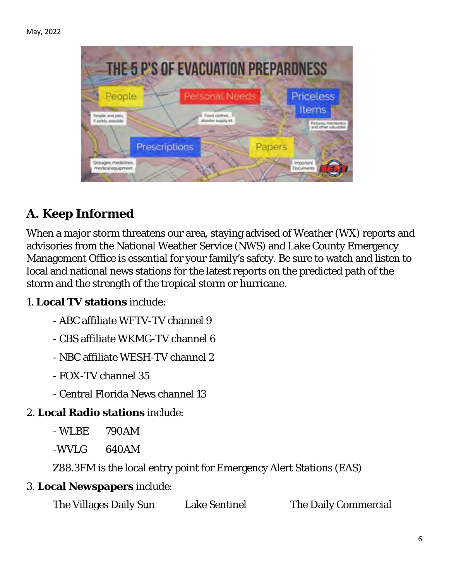

# **A. Keep Informed**

When a major storm threatens our area, staying advised of Weather (WX) reports and advisories from the National Weather Service (NWS) and Lake County Emergency Management Office is essential for your family's safety. Be sure to watch and listen to local and national news stations for the latest reports on the predicted path of the storm and the strength of the tropical storm or hurricane.

#### 1. **Local TV stations** include:

- ABC affiliate WFTV-TV channel 9
- CBS affiliate WKMG-TV channel 6
- NBC affiliate WESH-TV channel 2
- FOX-TV channel 35
- Central Florida News channel 13

#### 2. **Local Radio stations** include:

- WLBE 790AM
- -WVLG 640AM

Z88.3FM is the local entry point for Emergency Alert Stations (EAS)

#### 3. **Local Newspapers** include:

| The Villages Daily Sun | <b>Lake Sentinel</b> | The Daily Commercial |
|------------------------|----------------------|----------------------|
|------------------------|----------------------|----------------------|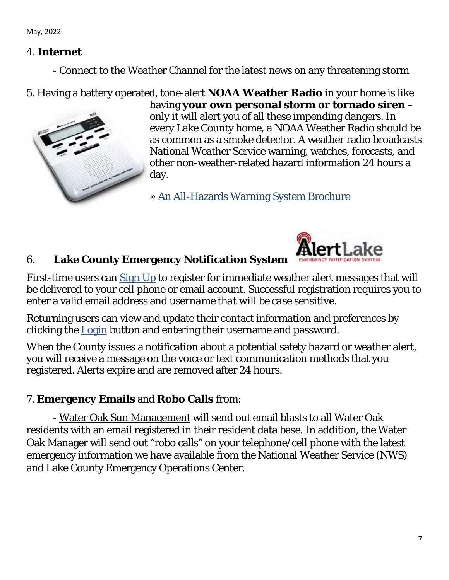#### 4. **Internet**

- Connect to the Weather Channel for the latest news on any threatening storm

#### 5. Having a battery operated, tone-alert **NOAA Weather Radio** in your home is like



having **your own personal storm or tornado siren** – only it will alert you of all these impending dangers. In every Lake County home, a NOAA Weather Radio should be as common as a smoke detector. A weather radio broadcasts National Weather Service warning, watches, forecasts, and other non-weather-related hazard information 24 hours a day.

» [An All-Hazards Warning System Brochure](about:blank)

<span id="page-6-1"></span>

#### 6. **Lake County Emergency Notification System**

First-time users can [Sign Up](about:blank#/signup) to register for immediate weather alert messages that will be delivered to your cell phone or email account. Successful registration requires you to enter a valid email address and *username that will be case sensitive*.

Returning users can view and update their contact information and preferences by clicking the [Login](about:blank#/login) button and entering their username and password.

When the County issues a notification about a potential safety hazard or weather alert, you will receive a message on the voice or text communication methods that you registered. Alerts expire and are removed after 24 hours.

#### <span id="page-6-0"></span>7. **Emergency Emails** and **Robo Calls** from:

 - Water Oak Sun Management will send out email blasts to all Water Oak residents with an email registered in their resident data base. In addition, the Water Oak Manager will send out "robo calls" on your telephone/cell phone with the latest emergency information we have available from the National Weather Service (NWS) and Lake County Emergency Operations Center.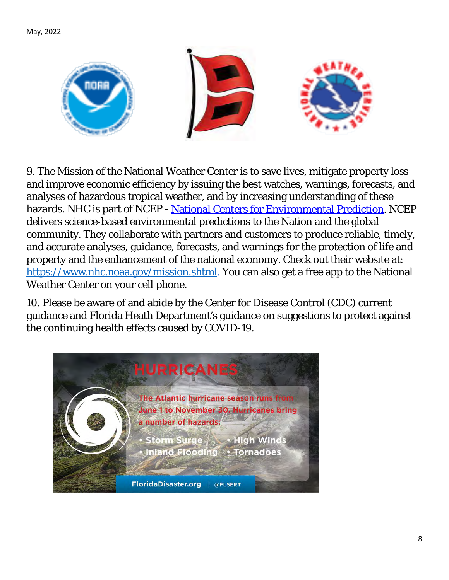

9. The Mission of the National Weather Center is to save lives, mitigate property loss and improve economic efficiency by issuing the best watches, warnings, forecasts, and analyses of hazardous tropical weather, and by increasing understanding of these hazards. NHC is part of NCEP - [National Centers for Environmental Prediction.](about:blank) NCEP delivers science-based environmental predictions to the Nation and the global community. They collaborate with partners and customers to produce reliable, timely, and accurate analyses, guidance, forecasts, and warnings for the protection of life and property and the enhancement of the national economy. Check out their website at: [https://www.nhc.noaa.gov/mission.shtml.](about:blank) You can also get a free app to the National Weather Center on your cell phone.

10. Please be aware of and abide by the Center for Disease Control (CDC) current guidance and Florida Heath Department's guidance on suggestions to protect against the continuing health effects caused by COVID-19.

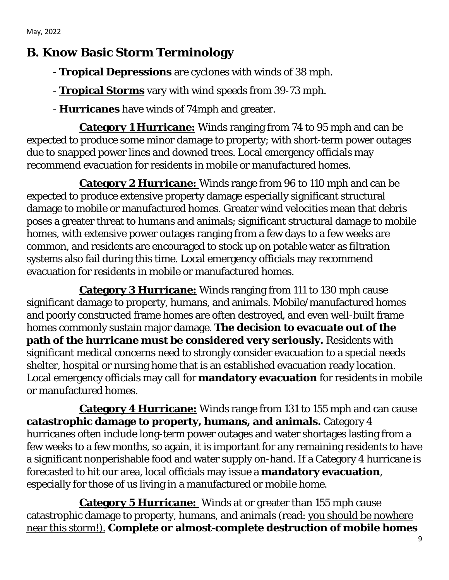## <span id="page-8-0"></span>**B. Know Basic Storm Terminology**

- **Tropical Depressions** are cyclones with winds of 38 mph.
- **Tropical Storms** vary with wind speeds from 39-73 mph.
- **Hurricanes** have winds of 74mph and greater.

 **Category 1 Hurricane:** Winds ranging from 74 to 95 mph and can be expected to produce some minor damage to property; with short-term power outages due to snapped power lines and downed trees. Local emergency officials may recommend evacuation for residents in mobile or manufactured homes.

 **Category 2 Hurricane:** Winds range from 96 to 110 mph and can be expected to produce extensive property damage especially significant structural damage to mobile or manufactured homes. Greater wind velocities mean that debris poses a greater threat to humans and animals; significant structural damage to mobile homes, with extensive power outages ranging from a few days to a few weeks are common, and residents are encouraged to stock up on potable water as filtration systems also fail during this time. Local emergency officials may recommend evacuation for residents in mobile or manufactured homes.

 **Category 3 Hurricane:** Winds ranging from 111 to 130 mph cause significant damage to property, humans, and animals. Mobile/manufactured homes and poorly constructed frame homes are often destroyed, and even well-built frame homes commonly sustain major damage. **The decision to evacuate out of the path of the hurricane must be considered very seriously.** Residents with significant medical concerns need to strongly consider evacuation to a special needs shelter, hospital or nursing home that is an established evacuation ready location. Local emergency officials may call for **mandatory evacuation** for residents in mobile or manufactured homes.

 **Category 4 Hurricane:** Winds range from 131 to 155 mph and can cause **catastrophic damage to property, humans, and animals.** Category 4 hurricanes often include long-term power outages and water shortages lasting from a few weeks to a few months, so again, it is important for any remaining residents to have a significant nonperishable food and water supply on-hand. If a Category 4 hurricane is forecasted to hit our area, local officials may issue a **mandatory evacuation**, especially for those of us living in a manufactured or mobile home.

 **Category 5 Hurricane:** Winds at or greater than 155 mph cause catastrophic damage to property, humans, and animals (read: you should be nowhere near this storm!). **Complete or almost-complete destruction of mobile homes**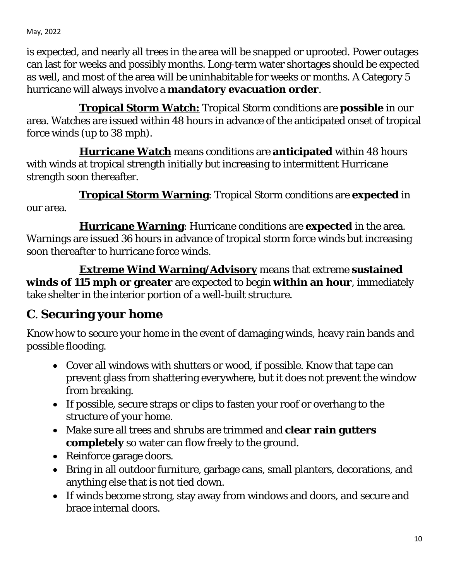is expected, and nearly all trees in the area will be snapped or uprooted. Power outages can last for weeks and possibly months. Long-term water shortages should be expected as well, and most of the area will be uninhabitable for weeks or months. A Category 5 hurricane will always involve a **mandatory evacuation order**.

 **Tropical Storm Watch:** Tropical Storm conditions are **possible** in our area. Watches are issued within 48 hours in advance of the anticipated onset of tropical force winds (up to 38 mph).

 **Hurricane Watch** means conditions are **anticipated** within 48 hours with winds at tropical strength initially but increasing to intermittent Hurricane strength soon thereafter.

 **Tropical Storm Warning**: Tropical Storm conditions are **expected** in our area.

 **Hurricane Warning**: Hurricane conditions are **expected** in the area. Warnings are issued 36 hours in advance of tropical storm force winds but increasing soon thereafter to hurricane force winds.

 **Extreme Wind Warning/Advisory** means that extreme **sustained winds of 115 mph or greater** are expected to begin **within an hour**, immediately take shelter in the interior portion of a well-built structure.

## **C**. **Securing your home**

Know how to secure your home in the event of damaging winds, heavy rain bands and possible flooding.

- Cover all windows with shutters or wood, if possible. Know that tape can prevent glass from shattering everywhere, but it does not prevent the window from breaking.
- If possible, secure straps or clips to fasten your roof or overhang to the structure of your home.
- Make sure all trees and shrubs are trimmed and **clear rain gutters completely** so water can flow freely to the ground.
- Reinforce garage doors.
- Bring in all outdoor furniture, garbage cans, small planters, decorations, and anything else that is not tied down.
- If winds become strong, stay away from windows and doors, and secure and brace internal doors.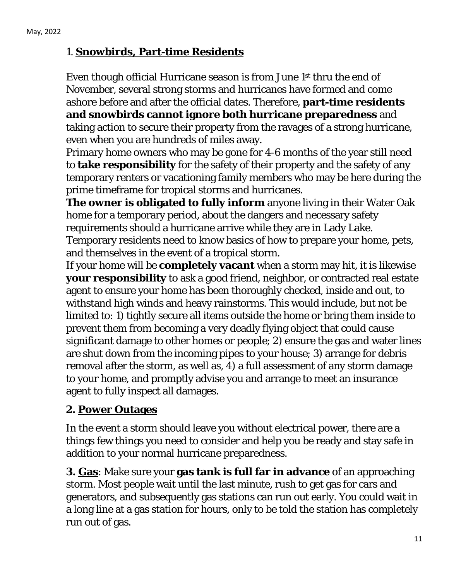#### <span id="page-10-0"></span>1. **Snowbirds, Part-time Residents**

Even though official Hurricane season is from June 1st thru the end of November, several strong storms and hurricanes have formed and come ashore before and after the official dates. Therefore, **part-time residents and snowbirds cannot ignore both hurricane preparedness** and taking action to secure their property from the ravages of a strong hurricane, even when you are hundreds of miles away.

Primary home owners who may be gone for 4-6 months of the year still need to **take responsibility** for the safety of their property and the safety of any temporary renters or vacationing family members who may be here during the prime timeframe for tropical storms and hurricanes.

**The owner is obligated to fully inform** anyone living in their Water Oak home for a temporary period, about the dangers and necessary safety requirements should a hurricane arrive while they are in Lady Lake.

Temporary residents need to know basics of how to prepare your home, pets, and themselves in the event of a tropical storm.

If your home will be **completely vacant** when a storm may hit, it is likewise **your responsibility** to ask a good friend, neighbor, or contracted real estate agent to ensure your home has been thoroughly checked, inside and out, to withstand high winds and heavy rainstorms. This would include, but not be limited to: 1) tightly secure all items outside the home or bring them inside to prevent them from becoming a very deadly flying object that could cause significant damage to other homes or people; 2) ensure the gas and water lines are shut down from the incoming pipes to your house; 3) arrange for debris removal after the storm, as well as, 4) a full assessment of any storm damage to your home, and promptly advise you and arrange to meet an insurance agent to fully inspect all damages.

#### <span id="page-10-1"></span> **2. Power Outages**

 In the event a storm should leave you without electrical power, there are a things few things you need to consider and help you be ready and stay safe in addition to your normal hurricane preparedness.

**3. Gas**: Make sure your **gas tank is full far in advance** of an approaching storm. Most people wait until the last minute, rush to get gas for cars and generators, and subsequently gas stations can run out early. You could wait in a long line at a gas station for hours, only to be told the station has completely run out of gas.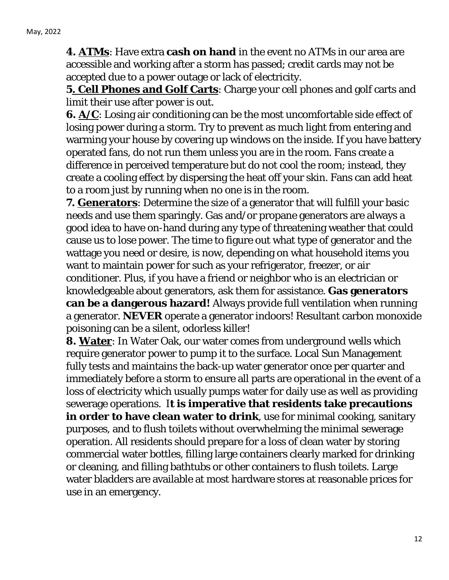**4. ATMs**: Have extra **cash on hand** in the event no ATMs in our area are accessible and working after a storm has passed; credit cards may not be accepted due to a power outage or lack of electricity.

**5. Cell Phones and Golf Carts**: Charge your cell phones and golf carts and limit their use after power is out.

**6.** A/C: Losing air conditioning can be the most uncomfortable side effect of losing power during a storm. Try to prevent as much light from entering and warming your house by covering up windows on the inside. If you have battery operated fans, do not run them unless you are in the room. Fans create a difference in perceived temperature but do not cool the room; instead, they create a cooling effect by dispersing the heat off your skin. Fans can add heat to a room just by running when no one is in the room.

**7. Generators**: Determine the size of a generator that will fulfill your basic needs and use them sparingly. Gas and/or propane generators are always a good idea to have on-hand during any type of threatening weather that could cause us to lose power. The time to figure out what type of generator and the wattage you need or desire, is now, depending on what household items you want to maintain power for such as your refrigerator, freezer, or air conditioner. Plus, if you have a friend or neighbor who is an electrician or knowledgeable about generators, ask them for assistance. **Gas generators can be a dangerous hazard!** Always provide full ventilation when running a generator. **NEVER** operate a generator indoors! Resultant carbon monoxide poisoning can be a silent, odorless killer!

<span id="page-11-0"></span>**8. Water**: In Water Oak, our water comes from underground wells which require generator power to pump it to the surface. Local Sun Management fully tests and maintains the back-up water generator once per quarter and immediately before a storm to ensure all parts are operational in the event of a loss of electricity which usually pumps water for daily use as well as providing sewerage operations. I**t is imperative that residents take precautions in order to have clean water to drink**, use for minimal cooking, sanitary purposes, and to flush toilets without overwhelming the minimal sewerage operation. All residents should prepare for a loss of clean water by storing commercial water bottles, filling large containers clearly marked for drinking or cleaning, and filling bathtubs or other containers to flush toilets. Large water bladders are available at most hardware stores at reasonable prices for use in an emergency.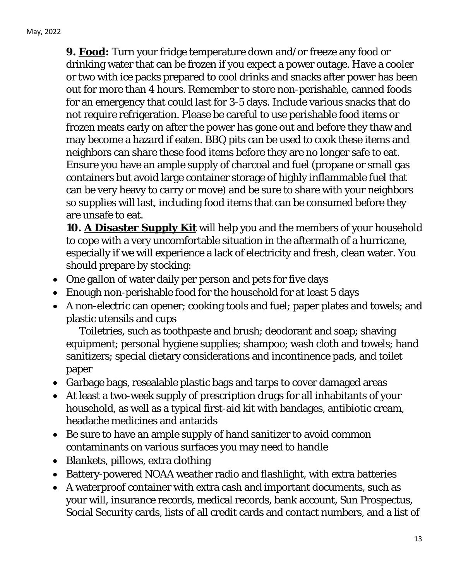**9. Food:** Turn your fridge temperature down and/or freeze any food or drinking water that can be frozen if you expect a power outage. Have a cooler or two with ice packs prepared to cool drinks and snacks after power has been out for more than 4 hours. Remember to store non-perishable, canned foods for an emergency that could last for 3-5 days. Include various snacks that do not require refrigeration. Please be careful to use perishable food items or frozen meats early on after the power has gone out and before they thaw and may become a hazard if eaten. BBQ pits can be used to cook these items and neighbors can share these food items before they are no longer safe to eat. Ensure you have an ample supply of charcoal and fuel (propane or small gas containers but avoid large container storage of highly inflammable fuel that can be very heavy to carry or move) and be sure to share with your neighbors so supplies will last, including food items that can be consumed before they are unsafe to eat.

<span id="page-12-0"></span>**10. A Disaster Supply Kit** will help you and the members of your household to cope with a very uncomfortable situation in the aftermath of a hurricane, especially if we will experience a lack of electricity and fresh, clean water. You should prepare by stocking:

- One gallon of water daily per person and pets for five days
- Enough non-perishable food for the household for at least 5 days
- A non-electric can opener; cooking tools and fuel; paper plates and towels; and plastic utensils and cups

Toiletries, such as toothpaste and brush; deodorant and soap; shaving equipment; personal hygiene supplies; shampoo; wash cloth and towels; hand sanitizers; special dietary considerations and incontinence pads, and toilet paper

- Garbage bags, resealable plastic bags and tarps to cover damaged areas
- At least a two-week supply of prescription drugs for all inhabitants of your household, as well as a typical first-aid kit with bandages, antibiotic cream, headache medicines and antacids
- Be sure to have an ample supply of hand sanitizer to avoid common contaminants on various surfaces you may need to handle
- Blankets, pillows, extra clothing
- Battery-powered NOAA weather radio and flashlight, with extra batteries
- A waterproof container with extra cash and important documents, such as your will, insurance records, medical records, bank account, Sun Prospectus, Social Security cards, lists of all credit cards and contact numbers, and a list of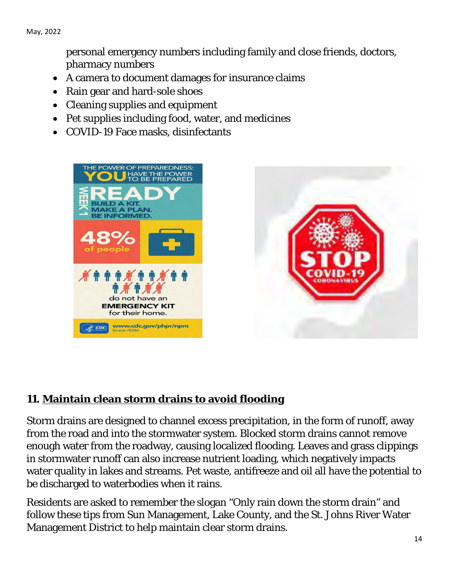personal emergency numbers including family and close friends, doctors, pharmacy numbers

- A camera to document damages for insurance claims
- Rain gear and hard-sole shoes
- Cleaning supplies and equipment
- Pet supplies including food, water, and medicines
- COVID-19 Face masks, disinfectants





#### <span id="page-13-0"></span>**11. Maintain clean storm drains to avoid flooding**

Storm drains are designed to channel excess precipitation, in the form of runoff, away from the road and into the stormwater system. Blocked storm drains cannot remove enough water from the roadway, causing localized flooding. Leaves and grass clippings in stormwater runoff can also increase nutrient loading, which negatively impacts water quality in lakes and streams. Pet waste, antifreeze and oil all have the potential to be discharged to waterbodies when it rains.

Residents are asked to remember the slogan "Only rain down the storm drain" and follow these tips from Sun Management, Lake County, and the St. Johns River Water Management District to help maintain clear storm drains.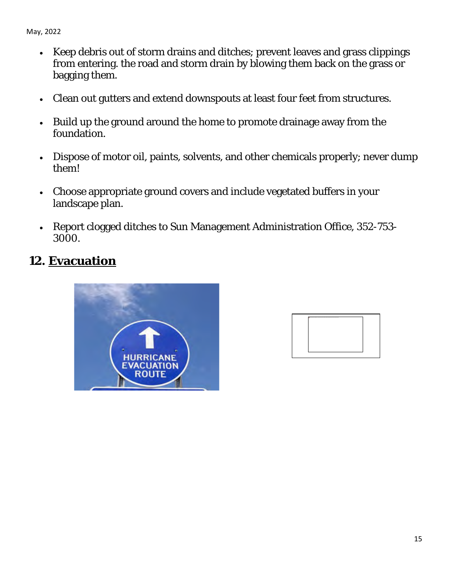- Keep debris out of storm drains and ditches; prevent leaves and grass clippings from entering. the road and storm drain by blowing them back on the grass or bagging them.
- Clean out gutters and extend downspouts at least four feet from structures.
- Build up the ground around the home to promote drainage away from the foundation.
- Dispose of motor oil, paints, solvents, and other chemicals properly; never dump them!
- Choose appropriate ground covers and include vegetated buffers in your landscape plan.
- Report clogged ditches to Sun Management Administration Office, 352-753- 3000.

## <span id="page-14-0"></span>**12. Evacuation**



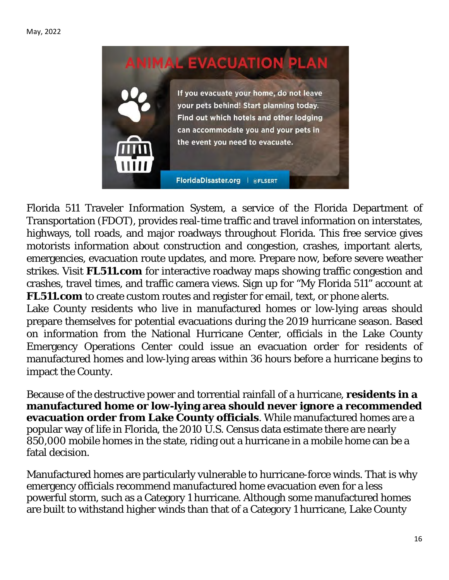

Florida 511 Traveler Information System, a service of the Florida Department of Transportation (FDOT), provides real-time traffic and travel information on interstates, highways, toll roads, and major roadways throughout Florida. This free service gives motorists information about construction and congestion, crashes, important alerts, emergencies, evacuation route updates, and more. Prepare now, before severe weather strikes. Visit **FL511.com** for interactive roadway maps showing traffic congestion and crashes, travel times, and traffic camera views. Sign up for "My Florida 511" account at **FL511.com** to create custom routes and register for email, text, or phone alerts.

Lake County residents who live in manufactured homes or low-lying areas should prepare themselves for potential evacuations during the 2019 hurricane season. Based on information from the National Hurricane Center, officials in the Lake County Emergency Operations Center could issue an evacuation order for residents of manufactured homes and low-lying areas within 36 hours before a hurricane begins to impact the County.

Because of the destructive power and torrential rainfall of a hurricane, **residents in a manufactured home or low-lying area should never ignore a recommended evacuation order from Lake County officials**. While manufactured homes are a popular way of life in Florida, the 2010 U.S. Census data estimate there are nearly 850,000 mobile homes in the state, riding out a hurricane in a mobile home can be a fatal decision.

Manufactured homes are particularly vulnerable to hurricane-force winds. That is why emergency officials recommend manufactured home evacuation even for a less powerful storm, such as a Category 1 hurricane. Although some manufactured homes are built to withstand higher winds than that of a Category 1 hurricane, Lake County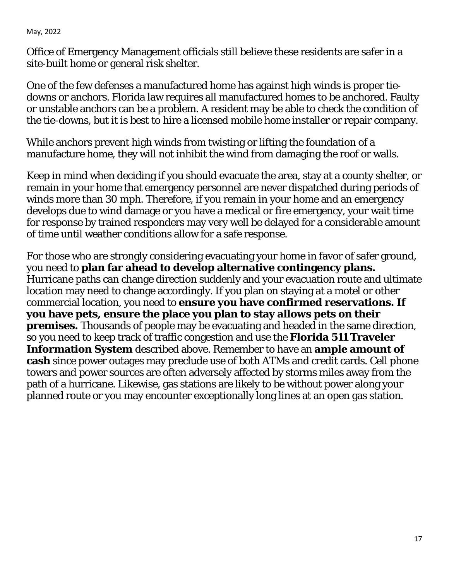Office of Emergency Management officials still believe these residents are safer in a site-built home or general risk shelter.

One of the few defenses a manufactured home has against high winds is proper tiedowns or anchors. Florida law requires all manufactured homes to be anchored. Faulty or unstable anchors can be a problem. A resident may be able to check the condition of the tie-downs, but it is best to hire a licensed mobile home installer or repair company.

While anchors prevent high winds from twisting or lifting the foundation of a manufacture home, they will not inhibit the wind from damaging the roof or walls.

Keep in mind when deciding if you should evacuate the area, stay at a county shelter, or remain in your home that emergency personnel are never dispatched during periods of winds more than 30 mph. Therefore, if you remain in your home and an emergency develops due to wind damage or you have a medical or fire emergency, your wait time for response by trained responders may very well be delayed for a considerable amount of time until weather conditions allow for a safe response.

For those who are strongly considering evacuating your home in favor of safer ground, you need to **plan far ahead to develop alternative contingency plans.** Hurricane paths can change direction suddenly and your evacuation route and ultimate location may need to change accordingly. If you plan on staying at a motel or other commercial location, you need to **ensure you have confirmed reservations. If you have pets, ensure the place you plan to stay allows pets on their premises.** Thousands of people may be evacuating and headed in the same direction, so you need to keep track of traffic congestion and use the **Florida 511 Traveler Information System** described above. Remember to have an **ample amount of cash** since power outages may preclude use of both ATMs and credit cards. Cell phone towers and power sources are often adversely affected by storms miles away from the path of a hurricane. Likewise, gas stations are likely to be without power along your planned route or you may encounter exceptionally long lines at an open gas station.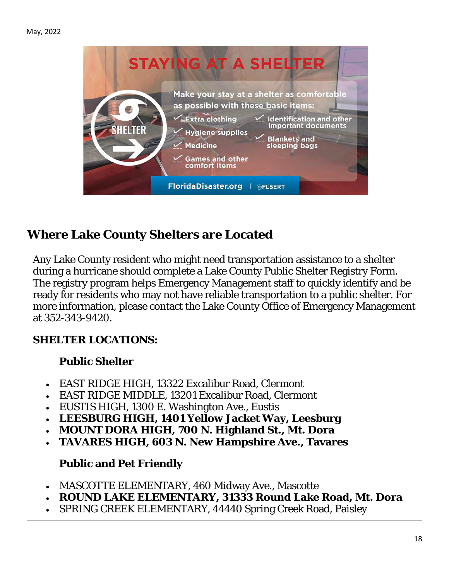

## **Where Lake County Shelters are Located**

Any Lake County resident who might need transportation assistance to a shelter during a hurricane should complete a Lake County Public Shelter Registry Form. The registry program helps Emergency Management staff to quickly identify and be ready for residents who may not have reliable transportation to a public shelter. For more information, please contact the Lake County Office of Emergency Management at 352-343-9420.

#### **SHELTER LOCATIONS:**

#### **Public Shelter**

- EAST RIDGE HIGH, 13322 Excalibur Road, Clermont
- EAST RIDGE MIDDLE, 13201 Excalibur Road, Clermont
- EUSTIS HIGH, 1300 E. Washington Ave., Eustis
- **LEESBURG HIGH, 1401 Yellow Jacket Way, Leesburg**
- **MOUNT DORA HIGH, 700 N. Highland St., Mt. Dora**
- **TAVARES HIGH, 603 N. New Hampshire Ave., Tavares**

#### **Public and Pet Friendly**

- MASCOTTE ELEMENTARY, 460 Midway Ave., Mascotte
- **ROUND LAKE ELEMENTARY, 31333 Round Lake Road, Mt. Dora**
- SPRING CREEK ELEMENTARY, 44440 Spring Creek Road, Paisley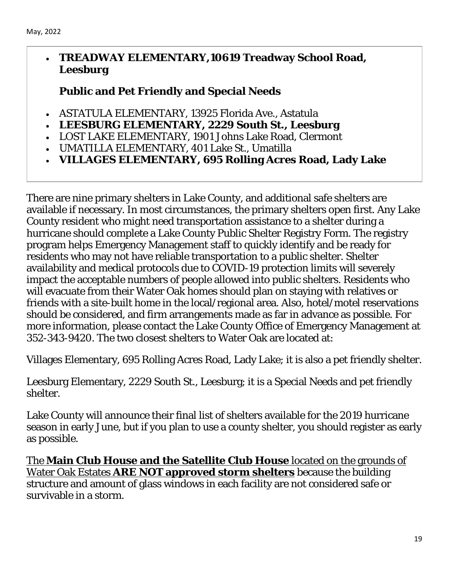#### • **TREADWAY ELEMENTARY,10619 Treadway School Road, Leesburg**

#### **Public and Pet Friendly and Special Needs**

- ASTATULA ELEMENTARY, 13925 Florida Ave., Astatula
- **LEESBURG ELEMENTARY, 2229 South St., Leesburg**
- LOST LAKE ELEMENTARY, 1901 Johns Lake Road, Clermont
- UMATILLA ELEMENTARY, 401 Lake St., Umatilla
- **VILLAGES ELEMENTARY, 695 Rolling Acres Road, Lady Lake**

There are nine primary shelters in Lake County, and additional safe shelters are available if necessary. In most circumstances, the primary shelters open first. Any Lake County resident who might need transportation assistance to a shelter during a hurricane should complete a Lake County Public Shelter Registry Form. The registry program helps Emergency Management staff to quickly identify and be ready for residents who may not have reliable transportation to a public shelter. Shelter availability and medical protocols due to COVID-19 protection limits will severely impact the acceptable numbers of people allowed into public shelters. Residents who will evacuate from their Water Oak homes should plan on staying with relatives or friends with a site-built home in the local/regional area. Also, hotel/motel reservations should be considered, and firm arrangements made as far in advance as possible. For more information, please contact the Lake County Office of Emergency Management at 352-343-9420. The two closest shelters to Water Oak are located at:

Villages Elementary, 695 Rolling Acres Road, Lady Lake; it is also a pet friendly shelter.

Leesburg Elementary, 2229 South St., Leesburg; it is a Special Needs and pet friendly shelter.

Lake County will announce their final list of shelters available for the 2019 hurricane season in early June, but if you plan to use a county shelter, you should register as early as possible.

The **Main Club House and the Satellite Club House** located on the grounds of Water Oak Estates **ARE NOT approved storm shelters** because the building structure and amount of glass windows in each facility are not considered safe or survivable in a storm.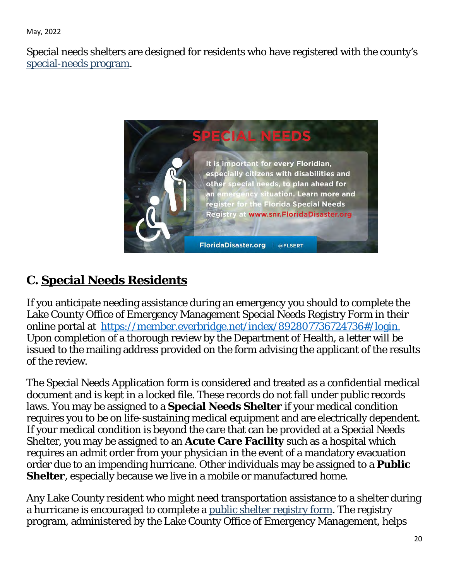Special needs shelters are designed for residents who have registered with the county's [special-needs program.](about:blank)



# <span id="page-19-0"></span>**C. Special Needs Residents**

If you anticipate needing assistance during an emergency you should to complete the Lake County Office of Emergency Management Special Needs Registry Form in their online portal at [https://member.everbridge.net/index/892807736724736#/login.](about:blank#/login) Upon completion of a thorough review by the Department of Health, a letter will be issued to the mailing address provided on the form advising the applicant of the results of the review.

The Special Needs Application form is considered and treated as a confidential medical document and is kept in a locked file. These records do not fall under public records laws. You may be assigned to a **Special Needs Shelter** if your medical condition requires you to be on life-sustaining medical equipment and are electrically dependent. If your medical condition is beyond the care that can be provided at a Special Needs Shelter, you may be assigned to an **Acute Care Facility** such as a hospital which requires an admit order from your physician in the event of a mandatory evacuation order due to an impending hurricane. Other individuals may be assigned to a **Public Shelter**, especially because we live in a mobile or manufactured home.

Any Lake County resident who might need transportation assistance to a shelter during a hurricane is encouraged to complete a [public shelter registry form.](about:blank) The registry program, administered by the Lake County Office of Emergency Management, helps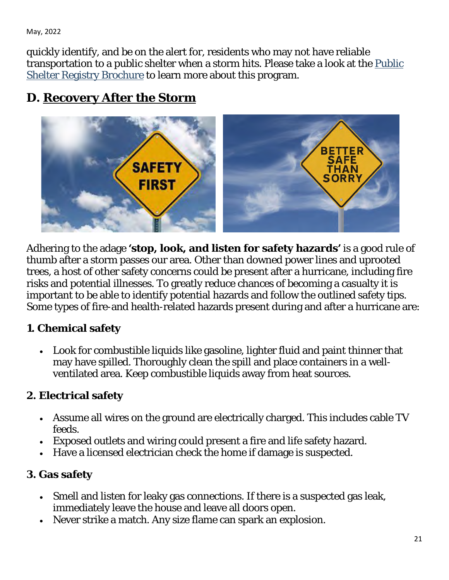quickly identify, and be on the alert for, residents who may not have reliable transportation to a public shelter when a storm hits. Please take a look at the [Public](about:blank)  [Shelter Registry Brochure](about:blank) to learn more about this program.

## <span id="page-20-0"></span>**D. Recovery After the Storm**



Adhering to the adage **'stop, look, and listen for safety hazards'** is a good rule of thumb after a storm passes our area. Other than downed power lines and uprooted trees, a host of other safety concerns could be present after a hurricane, including fire risks and potential illnesses. To greatly reduce chances of becoming a casualty it is important to be able to identify potential hazards and follow the outlined safety tips. Some types of fire-and health-related hazards present during and after a hurricane are:

#### **1. Chemical safety**

• Look for combustible liquids like gasoline, lighter fluid and paint thinner that may have spilled. Thoroughly clean the spill and place containers in a wellventilated area. Keep combustible liquids away from heat sources.

## **2. Electrical safety**

- Assume all wires on the ground are electrically charged. This includes cable TV feeds.
- Exposed outlets and wiring could present a fire and life safety hazard.
- Have a licensed electrician check the home if damage is suspected.

## **3. Gas safety**

- Smell and listen for leaky gas connections. If there is a suspected gas leak, immediately leave the house and leave all doors open.
- Never strike a match. Any size flame can spark an explosion.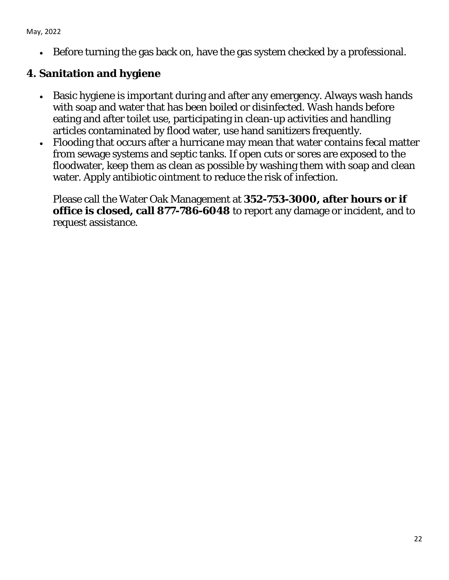• Before turning the gas back on, have the gas system checked by a professional.

### **4. Sanitation and hygiene**

- Basic hygiene is important during and after any emergency. Always wash hands with soap and water that has been boiled or disinfected. Wash hands before eating and after toilet use, participating in clean-up activities and handling articles contaminated by flood water, use hand sanitizers frequently.
- Flooding that occurs after a hurricane may mean that water contains fecal matter from sewage systems and septic tanks. If open cuts or sores are exposed to the floodwater, keep them as clean as possible by washing them with soap and clean water. Apply antibiotic ointment to reduce the risk of infection.

Please call the Water Oak Management at **352-753-3000, after hours or if office is closed, call 877-786-6048** to report any damage or incident, and to request assistance.